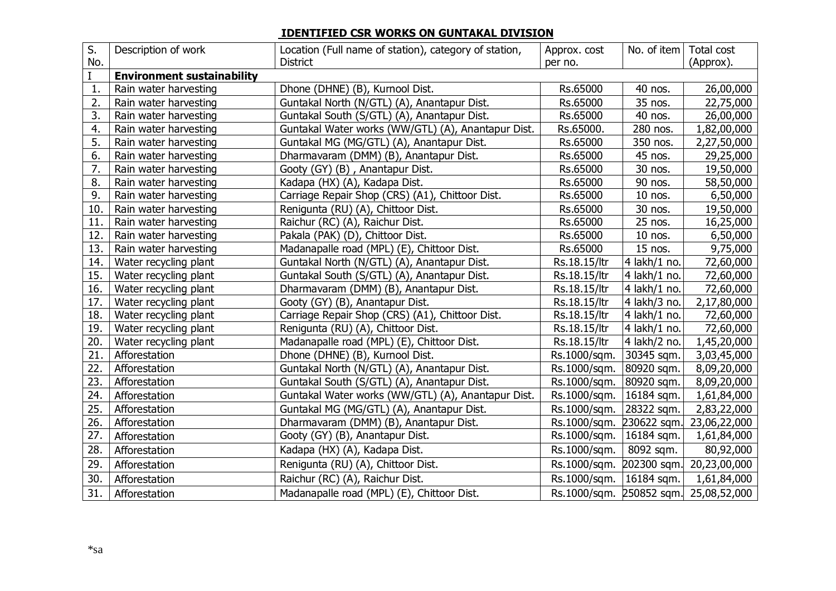## **IDENTIFIED CSR WORKS ON GUNTAKAL DIVISION**

| S.  | Description of work               | Location (Full name of station), category of station, | Approx. cost | No. of item $ $ | Total cost                            |  |  |
|-----|-----------------------------------|-------------------------------------------------------|--------------|-----------------|---------------------------------------|--|--|
| No. |                                   | <b>District</b>                                       | per no.      |                 | (Approx).                             |  |  |
|     | <b>Environment sustainability</b> |                                                       |              |                 |                                       |  |  |
| 1.  | Rain water harvesting             | Dhone (DHNE) (B), Kurnool Dist.                       | Rs.65000     | 40 nos.         | 26,00,000                             |  |  |
| 2.  | Rain water harvesting             | Guntakal North (N/GTL) (A), Anantapur Dist.           | Rs.65000     | 35 nos.         | 22,75,000                             |  |  |
| 3.  | Rain water harvesting             | Guntakal South (S/GTL) (A), Anantapur Dist.           | Rs.65000     | 40 nos.         | 26,00,000                             |  |  |
| 4.  | Rain water harvesting             | Guntakal Water works (WW/GTL) (A), Anantapur Dist.    | Rs.65000.    | 280 nos.        | 1,82,00,000                           |  |  |
| 5.  | Rain water harvesting             | Guntakal MG (MG/GTL) (A), Anantapur Dist.             | Rs.65000     | 350 nos.        | 2,27,50,000                           |  |  |
| 6.  | Rain water harvesting             | Dharmavaram (DMM) (B), Anantapur Dist.                | Rs.65000     | 45 nos.         | 29,25,000                             |  |  |
| 7.  | Rain water harvesting             | Gooty (GY) (B), Anantapur Dist.                       | Rs.65000     | 30 nos.         | 19,50,000                             |  |  |
| 8.  | Rain water harvesting             | Kadapa (HX) (A), Kadapa Dist.                         | Rs.65000     | 90 nos.         | 58,50,000                             |  |  |
| 9.  | Rain water harvesting             | Carriage Repair Shop (CRS) (A1), Chittoor Dist.       | Rs.65000     | 10 nos.         | 6,50,000                              |  |  |
| 10. | Rain water harvesting             | Renigunta (RU) (A), Chittoor Dist.                    | Rs.65000     | 30 nos.         | 19,50,000                             |  |  |
| 11. | Rain water harvesting             | Raichur (RC) (A), Raichur Dist.                       | Rs.65000     | 25 nos.         | 16,25,000                             |  |  |
| 12. | Rain water harvesting             | Pakala (PAK) (D), Chittoor Dist.                      | Rs.65000     | 10 nos.         | 6,50,000                              |  |  |
| 13. | Rain water harvesting             | Madanapalle road (MPL) (E), Chittoor Dist.            | Rs.65000     | 15 nos.         | 9,75,000                              |  |  |
| 14. | Water recycling plant             | Guntakal North (N/GTL) (A), Anantapur Dist.           | Rs.18.15/ltr | 4 lakh/1 no.    | 72,60,000                             |  |  |
| 15. | Water recycling plant             | Guntakal South (S/GTL) (A), Anantapur Dist.           | Rs.18.15/ltr | 4 lakh/1 no.    | 72,60,000                             |  |  |
| 16. | Water recycling plant             | Dharmavaram (DMM) (B), Anantapur Dist.                | Rs.18.15/ltr | 4 lakh/1 no.    | 72,60,000                             |  |  |
| 17. | Water recycling plant             | Gooty (GY) (B), Anantapur Dist.                       | Rs.18.15/ltr | 4 lakh/3 no.    | 2,17,80,000                           |  |  |
| 18. | Water recycling plant             | Carriage Repair Shop (CRS) (A1), Chittoor Dist.       | Rs.18.15/ltr | 4 lakh/1 no.    | 72,60,000                             |  |  |
| 19. | Water recycling plant             | Renigunta (RU) (A), Chittoor Dist.                    | Rs.18.15/ltr | 4 lakh/1 no.    | 72,60,000                             |  |  |
| 20. | Water recycling plant             | Madanapalle road (MPL) (E), Chittoor Dist.            | Rs.18.15/ltr | 4 lakh/2 no.    | 1,45,20,000                           |  |  |
| 21. | Afforestation                     | Dhone (DHNE) (B), Kurnool Dist.                       | Rs.1000/sqm. | 30345 sqm.      | 3,03,45,000                           |  |  |
| 22. | Afforestation                     | Guntakal North (N/GTL) (A), Anantapur Dist.           | Rs.1000/sqm. | 80920 sqm.      | 8,09,20,000                           |  |  |
| 23. | Afforestation                     | Guntakal South (S/GTL) (A), Anantapur Dist.           | Rs.1000/sqm. | 80920 sqm.      | 8,09,20,000                           |  |  |
| 24. | Afforestation                     | Guntakal Water works (WW/GTL) (A), Anantapur Dist.    | Rs.1000/sqm. | 16184 sqm.      | 1,61,84,000                           |  |  |
| 25. | Afforestation                     | Guntakal MG (MG/GTL) (A), Anantapur Dist.             | Rs.1000/sqm. | 28322 sqm.      | 2,83,22,000                           |  |  |
| 26. | Afforestation                     | Dharmavaram (DMM) (B), Anantapur Dist.                | Rs.1000/sqm. | 230622 sqm.     | 23,06,22,000                          |  |  |
| 27. | Afforestation                     | Gooty (GY) (B), Anantapur Dist.                       | Rs.1000/sqm. | 16184 sqm.      | 1,61,84,000                           |  |  |
| 28. | Afforestation                     | Kadapa (HX) (A), Kadapa Dist.                         | Rs.1000/sqm. | 8092 sqm.       | 80,92,000                             |  |  |
| 29. | Afforestation                     | Renigunta (RU) (A), Chittoor Dist.                    | Rs.1000/sqm. | 202300 sqm.     | 20,23,00,000                          |  |  |
| 30. | Afforestation                     | Raichur (RC) (A), Raichur Dist.                       | Rs.1000/sqm. | $16184$ sqm.    | 1,61,84,000                           |  |  |
| 31. | Afforestation                     | Madanapalle road (MPL) (E), Chittoor Dist.            |              |                 | Rs.1000/sqm. 250852 sqm. 25,08,52,000 |  |  |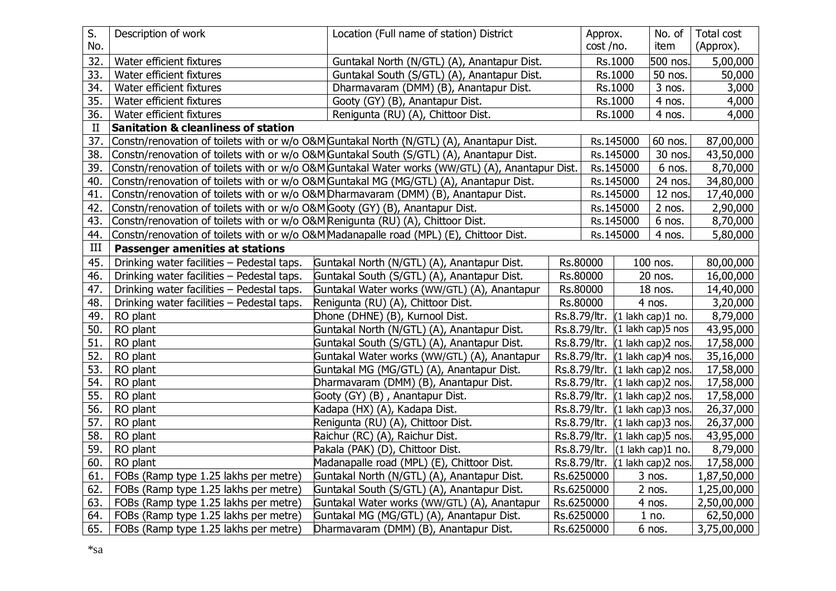| S.          | Description of work                                                             | Location (Full name of station) District                                                        | Approx.      |           | No. of                                           | Total cost  |
|-------------|---------------------------------------------------------------------------------|-------------------------------------------------------------------------------------------------|--------------|-----------|--------------------------------------------------|-------------|
| No.         |                                                                                 |                                                                                                 | cost /no.    |           | item                                             | (Approx).   |
| 32.         | Water efficient fixtures                                                        | Guntakal North (N/GTL) (A), Anantapur Dist.                                                     | Rs.1000      |           | 500 nos                                          | 5,00,000    |
| 33.         | Water efficient fixtures                                                        | Guntakal South (S/GTL) (A), Anantapur Dist.                                                     |              | Rs.1000   | 50 nos.                                          | 50,000      |
| 34.         | Water efficient fixtures                                                        | Dharmavaram (DMM) (B), Anantapur Dist.                                                          |              | Rs.1000   | $3$ nos.                                         | 3,000       |
| 35.         | Water efficient fixtures                                                        | Gooty (GY) (B), Anantapur Dist.                                                                 |              | Rs.1000   | 4 nos.                                           | 4,000       |
| 36.         | Water efficient fixtures                                                        | Renigunta (RU) (A), Chittoor Dist.                                                              |              | Rs.1000   | 4 nos.                                           | 4,000       |
| $_{\rm II}$ | <b>Sanitation &amp; cleanliness of station</b>                                  |                                                                                                 |              |           |                                                  |             |
| 37.         |                                                                                 | Constn/renovation of toilets with or w/o O&M Guntakal North (N/GTL) (A), Anantapur Dist.        |              | Rs.145000 | 60 nos.                                          | 87,00,000   |
| 38.         |                                                                                 | Constn/renovation of toilets with or w/o O&M Guntakal South (S/GTL) (A), Anantapur Dist.        |              | Rs.145000 | 30 nos.                                          | 43,50,000   |
| 39.         |                                                                                 | Constn/renovation of toilets with or w/o O&M Guntakal Water works (WW/GTL) (A), Anantapur Dist. |              | Rs.145000 | 6 nos.                                           | 8,70,000    |
| 40.         |                                                                                 | Constn/renovation of toilets with or w/o O&M Guntakal MG (MG/GTL) (A), Anantapur Dist.          |              | Rs.145000 | 24 nos                                           | 34,80,000   |
| 41.         |                                                                                 | Constn/renovation of toilets with or w/o O&M Dharmavaram (DMM) (B), Anantapur Dist.             |              | Rs.145000 | 12 nos                                           | 17,40,000   |
| 42.         | Constn/renovation of toilets with or w/o O&M Gooty (GY) (B), Anantapur Dist.    |                                                                                                 |              | Rs.145000 | $2$ nos.                                         | 2,90,000    |
| 43.         | Constn/renovation of toilets with or w/o O&M Renigunta (RU) (A), Chittoor Dist. |                                                                                                 |              | Rs.145000 | 6 nos.                                           | 8,70,000    |
| 44.         |                                                                                 | Constn/renovation of toilets with or w/o O&M Madanapalle road (MPL) (E), Chittoor Dist.         |              | Rs.145000 | 4 nos.                                           | 5,80,000    |
| III         | <b>Passenger amenities at stations</b>                                          |                                                                                                 |              |           |                                                  |             |
| 45.         | Drinking water facilities - Pedestal taps.                                      | Guntakal North (N/GTL) (A), Anantapur Dist.                                                     | Rs.80000     |           | 100 nos.                                         | 80,00,000   |
| 46.         | Drinking water facilities - Pedestal taps.                                      | Guntakal South (S/GTL) (A), Anantapur Dist.                                                     | Rs.80000     |           | 20 nos.                                          | 16,00,000   |
| 47.         | Drinking water facilities - Pedestal taps.                                      | Guntakal Water works (WW/GTL) (A), Anantapur                                                    | Rs.80000     |           | 18 nos.                                          | 14,40,000   |
| 48.         | Drinking water facilities - Pedestal taps.                                      | Renigunta (RU) (A), Chittoor Dist.                                                              | Rs.80000     |           | 4 nos.                                           | 3,20,000    |
| 49.         | RO plant                                                                        | Dhone (DHNE) (B), Kurnool Dist.                                                                 | Rs.8.79/ltr. |           | $(1$ lakh cap)1 no.                              | 8,79,000    |
| 50.         | RO plant                                                                        | Guntakal North (N/GTL) (A), Anantapur Dist.                                                     |              |           | Rs.8.79/ltr. $(1 \text{ lakh cap})$ 5 nos        | 43,95,000   |
| 51.         | RO plant                                                                        | Guntakal South (S/GTL) (A), Anantapur Dist.                                                     |              |           | Rs.8.79/ltr. (1 lakh cap)2 nos.                  | 17,58,000   |
| 52.         | RO plant                                                                        | Guntakal Water works (WW/GTL) (A), Anantapur                                                    | Rs.8.79/ltr. |           | $(1$ lakh cap) $4$ nos.                          | 35,16,000   |
| 53.         | RO plant                                                                        | Guntakal MG (MG/GTL) (A), Anantapur Dist.                                                       | Rs.8.79/ltr. |           | $(1$ lakh cap)2 nos.                             | 17,58,000   |
| 54.         | RO plant                                                                        | Dharmavaram (DMM) (B), Anantapur Dist.                                                          | Rs.8.79/ltr. |           | $(1$ lakh cap)2 nos.                             | 17,58,000   |
| 55.         | RO plant                                                                        | Gooty (GY) (B), Anantapur Dist.                                                                 | Rs.8.79/ltr. |           | (1 lakh cap)2 nos.                               | 17,58,000   |
| 56.         | RO plant                                                                        | Kadapa (HX) (A), Kadapa Dist.                                                                   |              |           | Rs.8.79/ltr. (1 lakh cap)3 nos.                  | 26,37,000   |
| 57.         | RO plant                                                                        | Renigunta (RU) (A), Chittoor Dist.                                                              |              |           | Rs.8.79/ltr. (1 lakh cap)3 nos.                  | 26,37,000   |
| 58.         | RO plant                                                                        | Raichur (RC) (A), Raichur Dist.                                                                 |              |           | Rs.8.79/ltr. (1 lakh cap) 5 nos.                 | 43,95,000   |
| 59.         | RO plant                                                                        | Pakala (PAK) (D), Chittoor Dist.                                                                |              |           | Rs.8.79/ltr. $(1 \text{ lakh cap})1 \text{ no.}$ | 8,79,000    |
| 60.         | RO plant                                                                        | Madanapalle road (MPL) (E), Chittoor Dist.                                                      |              |           | Rs.8.79/ltr. (1 lakh cap)2 nos.                  | 17,58,000   |
| 61.         | FOBs (Ramp type 1.25 lakhs per metre)                                           | Guntakal North (N/GTL) (A), Anantapur Dist.                                                     | Rs.6250000   |           | 3 nos.                                           | 1,87,50,000 |
| 62.         | FOBs (Ramp type 1.25 lakhs per metre)                                           | Guntakal South (S/GTL) (A), Anantapur Dist.                                                     | Rs.6250000   |           | $2$ nos.                                         | 1,25,00,000 |
| 63.         | FOBs (Ramp type 1.25 lakhs per metre)                                           | Guntakal Water works (WW/GTL) (A), Anantapur                                                    | Rs.6250000   |           | 4 nos.                                           | 2,50,00,000 |
| 64.         | FOBs (Ramp type 1.25 lakhs per metre)                                           | Guntakal MG (MG/GTL) (A), Anantapur Dist.                                                       | Rs.6250000   |           | 1 no.                                            | 62,50,000   |
| 65.         | FOBs (Ramp type 1.25 lakhs per metre)                                           | Dharmavaram (DMM) (B), Anantapur Dist.                                                          | Rs.6250000   |           | 6 nos.                                           | 3,75,00,000 |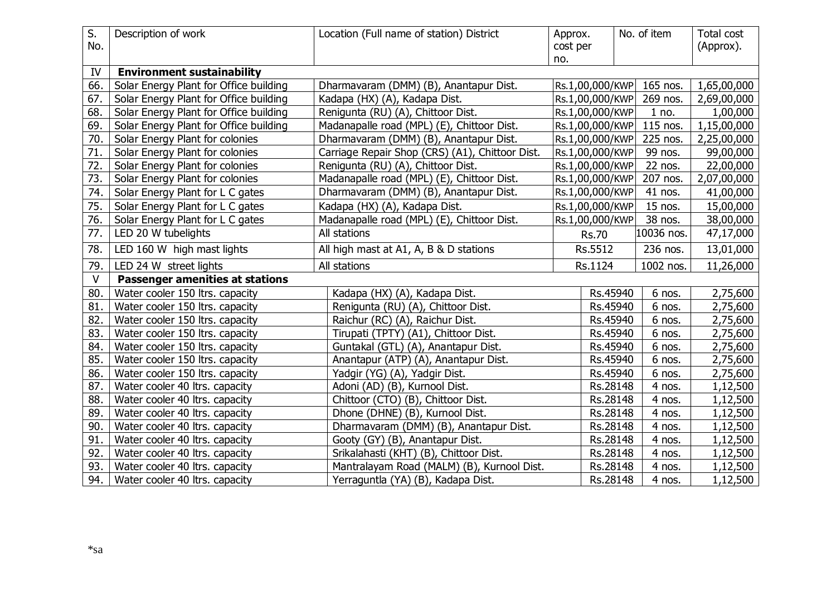| S.<br>No. | Description of work                    | Location (Full name of station) District        | Approx.<br>cost per |                 | No. of item | Total cost<br>(Approx). |  |  |
|-----------|----------------------------------------|-------------------------------------------------|---------------------|-----------------|-------------|-------------------------|--|--|
|           |                                        |                                                 | no.                 |                 |             |                         |  |  |
| IV        | <b>Environment sustainability</b>      |                                                 |                     |                 |             |                         |  |  |
| 66.       | Solar Energy Plant for Office building | Dharmavaram (DMM) (B), Anantapur Dist.          |                     | Rs.1,00,000/KWP | 165 nos.    | 1,65,00,000             |  |  |
| 67.       | Solar Energy Plant for Office building | Kadapa (HX) (A), Kadapa Dist.                   |                     | Rs.1,00,000/KWP | 269 nos.    | 2,69,00,000             |  |  |
| 68.       | Solar Energy Plant for Office building | Renigunta (RU) (A), Chittoor Dist.              |                     | Rs.1,00,000/KWP | 1 no.       | 1,00,000                |  |  |
| 69.       | Solar Energy Plant for Office building | Madanapalle road (MPL) (E), Chittoor Dist.      |                     | Rs.1,00,000/KWP | 115 nos.    | 1,15,00,000             |  |  |
| 70.       | Solar Energy Plant for colonies        | Dharmavaram (DMM) (B), Anantapur Dist.          |                     | Rs.1,00,000/KWP | 225 nos.    | 2,25,00,000             |  |  |
| 71.       | Solar Energy Plant for colonies        | Carriage Repair Shop (CRS) (A1), Chittoor Dist. |                     | Rs.1,00,000/KWP | 99 nos.     | 99,00,000               |  |  |
| 72.       | Solar Energy Plant for colonies        | Renigunta (RU) (A), Chittoor Dist.              |                     | Rs.1,00,000/KWP | 22 nos.     | 22,00,000               |  |  |
| 73.       | Solar Energy Plant for colonies        | Madanapalle road (MPL) (E), Chittoor Dist.      |                     | Rs.1,00,000/KWP | 207 nos.    | 2,07,00,000             |  |  |
| 74.       | Solar Energy Plant for L C gates       | Dharmavaram (DMM) (B), Anantapur Dist.          |                     | Rs.1,00,000/KWP | 41 nos.     | 41,00,000               |  |  |
| 75.       | Solar Energy Plant for L C gates       | Kadapa (HX) (A), Kadapa Dist.                   |                     | Rs.1,00,000/KWP | 15 nos.     | 15,00,000               |  |  |
| 76.       | Solar Energy Plant for L C gates       | Madanapalle road (MPL) (E), Chittoor Dist.      |                     | Rs.1,00,000/KWP | 38 nos.     | 38,00,000               |  |  |
| 77.       | LED 20 W tubelights                    | All stations                                    |                     | <b>Rs.70</b>    | 10036 nos.  | 47,17,000               |  |  |
| 78.       | LED 160 W high mast lights             | All high mast at A1, A, B & D stations          |                     | Rs.5512         | 236 nos.    | 13,01,000               |  |  |
| 79.       | LED 24 W street lights                 | All stations                                    |                     | Rs.1124         | 1002 nos.   | 11,26,000               |  |  |
| $\vee$    | <b>Passenger amenities at stations</b> |                                                 |                     |                 |             |                         |  |  |
| 80.       | Water cooler 150 ltrs. capacity        | Kadapa (HX) (A), Kadapa Dist.                   |                     | Rs.45940        | 6 nos.      | 2,75,600                |  |  |
| 81.       | Water cooler 150 ltrs. capacity        | Renigunta (RU) (A), Chittoor Dist.              |                     | Rs.45940        | 6 nos.      | 2,75,600                |  |  |
| 82.       | Water cooler 150 ltrs. capacity        | Raichur (RC) (A), Raichur Dist.                 |                     | Rs.45940        | 6 nos.      | 2,75,600                |  |  |
| 83.       | Water cooler 150 ltrs. capacity        | Tirupati (TPTY) (A1), Chittoor Dist.            |                     | Rs.45940        | 6 nos.      | 2,75,600                |  |  |
| 84.       | Water cooler 150 ltrs. capacity        | Guntakal (GTL) (A), Anantapur Dist.             |                     | Rs.45940        | 6 nos.      | 2,75,600                |  |  |
| 85.       | Water cooler 150 ltrs. capacity        | Anantapur (ATP) (A), Anantapur Dist.            |                     | Rs.45940        | 6 nos.      | 2,75,600                |  |  |
| 86.       | Water cooler 150 ltrs. capacity        | Yadgir (YG) (A), Yadgir Dist.                   |                     | Rs.45940        | 6 nos.      | 2,75,600                |  |  |
| 87.       | Water cooler 40 ltrs. capacity         | Adoni (AD) (B), Kurnool Dist.                   |                     | Rs.28148        | 4 nos.      | 1,12,500                |  |  |
| 88.       | Water cooler 40 ltrs. capacity         | Chittoor (CTO) (B), Chittoor Dist.              |                     | Rs.28148        | 4 nos.      | 1,12,500                |  |  |
| 89.       | Water cooler 40 ltrs. capacity         | Dhone (DHNE) (B), Kurnool Dist.                 |                     | Rs.28148        | 4 nos.      | 1,12,500                |  |  |
| 90.       | Water cooler 40 ltrs. capacity         | Dharmavaram (DMM) (B), Anantapur Dist.          |                     | Rs.28148        | 4 nos.      | 1,12,500                |  |  |
| 91.       | Water cooler 40 ltrs. capacity         | Gooty (GY) (B), Anantapur Dist.                 |                     | Rs.28148        | 4 nos.      | 1,12,500                |  |  |
| 92.       | Water cooler 40 ltrs. capacity         | Srikalahasti (KHT) (B), Chittoor Dist.          |                     | Rs.28148        | 4 nos.      | 1,12,500                |  |  |
| 93.       | Water cooler 40 ltrs. capacity         | Mantralayam Road (MALM) (B), Kurnool Dist.      |                     | Rs.28148        | 4 nos.      | 1,12,500                |  |  |
| 94.       | Water cooler 40 ltrs. capacity         | Yerraguntla (YA) (B), Kadapa Dist.              |                     | Rs.28148        | 4 nos.      | 1,12,500                |  |  |